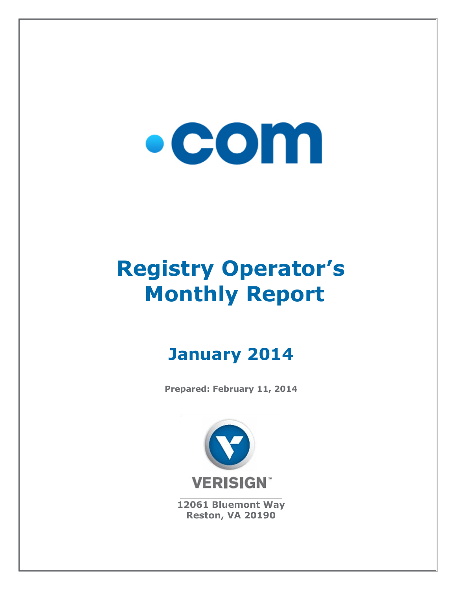# $\bullet$  COM

## **Registry Operator's Monthly Report**

### **January 2014**

**Prepared: February 11, 2014**



**12061 Bluemont Way Reston, VA 20190**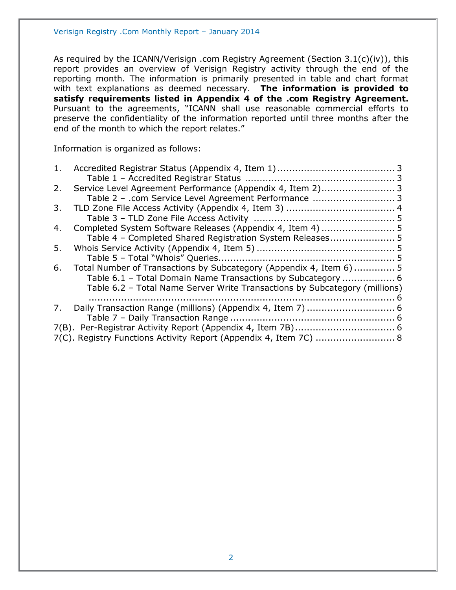As required by the ICANN/Verisign .com Registry Agreement (Section 3.1(c)(iv)), this report provides an overview of Verisign Registry activity through the end of the reporting month. The information is primarily presented in table and chart format with text explanations as deemed necessary. **The information is provided to satisfy requirements listed in Appendix 4 of the .com Registry Agreement.** Pursuant to the agreements, "ICANN shall use reasonable commercial efforts to preserve the confidentiality of the information reported until three months after the end of the month to which the report relates."

Information is organized as follows:

| 1. |                                                                            |  |
|----|----------------------------------------------------------------------------|--|
|    |                                                                            |  |
| 2. |                                                                            |  |
|    | Table 2 - .com Service Level Agreement Performance  3                      |  |
| 3. |                                                                            |  |
|    |                                                                            |  |
| 4. |                                                                            |  |
|    | Table 4 - Completed Shared Registration System Releases5                   |  |
| 5. |                                                                            |  |
|    |                                                                            |  |
| 6. | Total Number of Transactions by Subcategory (Appendix 4, Item 6) 5         |  |
|    | Table 6.1 - Total Domain Name Transactions by Subcategory  6               |  |
|    | Table 6.2 - Total Name Server Write Transactions by Subcategory (millions) |  |
|    |                                                                            |  |
| 7. |                                                                            |  |
|    |                                                                            |  |
|    |                                                                            |  |
|    | 7(C). Registry Functions Activity Report (Appendix 4, Item 7C)  8          |  |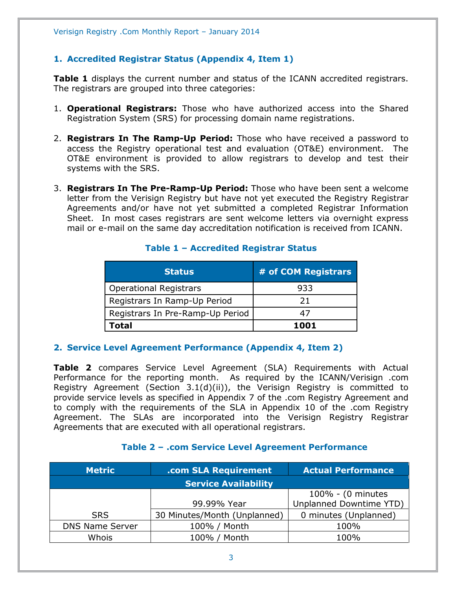#### <span id="page-2-0"></span>**1. Accredited Registrar Status (Appendix 4, Item 1)**

**Table 1** displays the current number and status of the ICANN accredited registrars. The registrars are grouped into three categories:

- 1. **Operational Registrars:** Those who have authorized access into the Shared Registration System (SRS) for processing domain name registrations.
- 2. **Registrars In The Ramp-Up Period:** Those who have received a password to access the Registry operational test and evaluation (OT&E) environment. The OT&E environment is provided to allow registrars to develop and test their systems with the SRS.
- 3. **Registrars In The Pre-Ramp-Up Period:** Those who have been sent a welcome letter from the Verisign Registry but have not yet executed the Registry Registrar Agreements and/or have not yet submitted a completed Registrar Information Sheet. In most cases registrars are sent welcome letters via overnight express mail or e-mail on the same day accreditation notification is received from ICANN.

<span id="page-2-1"></span>

| <b>Status</b>                    | # of COM Registrars |
|----------------------------------|---------------------|
| <b>Operational Registrars</b>    | 933                 |
| Registrars In Ramp-Up Period     | 21                  |
| Registrars In Pre-Ramp-Up Period | 47                  |
| Total                            | 1001                |

#### **Table 1 – Accredited Registrar Status**

#### <span id="page-2-2"></span>**2. Service Level Agreement Performance (Appendix 4, Item 2)**

**Table 2** compares Service Level Agreement (SLA) Requirements with Actual Performance for the reporting month. As required by the ICANN/Verisign .com Registry Agreement (Section 3.1(d)(ii)), the Verisign Registry is committed to provide service levels as specified in Appendix 7 of the .com Registry Agreement and to comply with the requirements of the SLA in Appendix 10 of the .com Registry Agreement. The SLAs are incorporated into the Verisign Registry Registrar Agreements that are executed with all operational registrars.

#### **Table 2 – .com Service Level Agreement Performance**

<span id="page-2-3"></span>

| <b>Metric</b>          | .com SLA Requirement         | <b>Actual Performance</b> |  |
|------------------------|------------------------------|---------------------------|--|
|                        | <b>Service Availability</b>  |                           |  |
|                        |                              | 100% - (0 minutes         |  |
|                        | 99.99% Year                  | Unplanned Downtime YTD)   |  |
| <b>SRS</b>             | 30 Minutes/Month (Unplanned) | 0 minutes (Unplanned)     |  |
| <b>DNS Name Server</b> | 100% / Month                 | 100%                      |  |
| Whois                  | 100% / Month                 | 100%                      |  |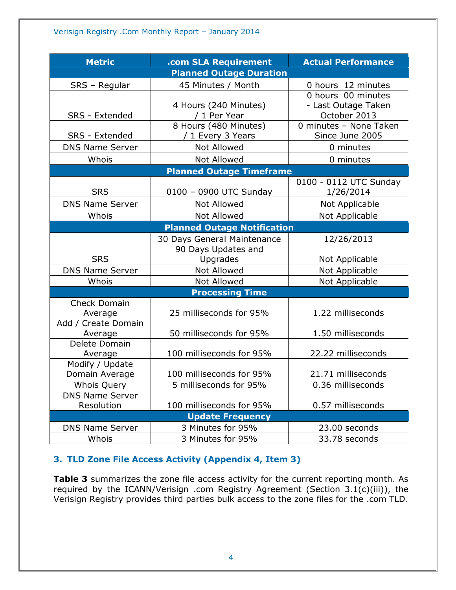| <b>Metric</b>                                         | .com SLA Requirement                       | <b>Actual Performance</b>                                 |  |  |  |  |
|-------------------------------------------------------|--------------------------------------------|-----------------------------------------------------------|--|--|--|--|
| <b>Planned Outage Duration</b>                        |                                            |                                                           |  |  |  |  |
| SRS - Regular                                         | 45 Minutes / Month                         | 0 hours 12 minutes                                        |  |  |  |  |
| SRS - Extended                                        | 4 Hours (240 Minutes)<br>/ 1 Per Year      | 0 hours 00 minutes<br>- Last Outage Taken<br>October 2013 |  |  |  |  |
| SRS - Extended                                        | 8 Hours (480 Minutes)<br>/ 1 Every 3 Years | 0 minutes - None Taken<br>Since June 2005                 |  |  |  |  |
| <b>DNS Name Server</b>                                | Not Allowed                                | 0 minutes                                                 |  |  |  |  |
| Whois                                                 | <b>Not Allowed</b>                         | 0 minutes                                                 |  |  |  |  |
|                                                       | <b>Planned Outage Timeframe</b>            |                                                           |  |  |  |  |
| <b>SRS</b>                                            | 0100 - 0900 UTC Sunday                     | 0100 - 0112 UTC Sunday<br>1/26/2014                       |  |  |  |  |
| <b>DNS Name Server</b>                                | Not Allowed                                | Not Applicable                                            |  |  |  |  |
| Whois                                                 | <b>Not Allowed</b>                         | Not Applicable                                            |  |  |  |  |
|                                                       | <b>Planned Outage Notification</b>         |                                                           |  |  |  |  |
|                                                       | 30 Days General Maintenance                | 12/26/2013                                                |  |  |  |  |
| <b>SRS</b>                                            | 90 Days Updates and<br>Upgrades            | Not Applicable                                            |  |  |  |  |
| <b>DNS Name Server</b>                                | Not Allowed                                | Not Applicable                                            |  |  |  |  |
| Whois                                                 | Not Allowed                                | Not Applicable                                            |  |  |  |  |
|                                                       | <b>Processing Time</b>                     |                                                           |  |  |  |  |
| <b>Check Domain</b><br>Average<br>Add / Create Domain | 25 milliseconds for 95%                    | 1.22 milliseconds                                         |  |  |  |  |
| Average                                               | 50 milliseconds for 95%                    | 1.50 milliseconds                                         |  |  |  |  |
| Delete Domain<br>Average                              | 100 milliseconds for 95%                   | 22.22 milliseconds                                        |  |  |  |  |
| Modify / Update<br>Domain Average                     | 100 milliseconds for 95%                   | 21.71 milliseconds                                        |  |  |  |  |
| <b>Whois Query</b>                                    | 5 milliseconds for 95%                     | 0.36 milliseconds                                         |  |  |  |  |
| <b>DNS Name Server</b><br>Resolution                  | 100 milliseconds for 95%                   | 0.57 milliseconds                                         |  |  |  |  |
|                                                       | <b>Update Frequency</b>                    |                                                           |  |  |  |  |
| <b>DNS Name Server</b>                                | 3 Minutes for 95%                          | 23.00 seconds                                             |  |  |  |  |
| Whois                                                 | 3 Minutes for 95%                          | 33.78 seconds                                             |  |  |  |  |

#### <span id="page-3-0"></span>**3. TLD Zone File Access Activity (Appendix 4, Item 3)**

**Table 3** summarizes the zone file access activity for the current reporting month. As required by the ICANN/Verisign .com Registry Agreement (Section 3.1(c)(iii)), the Verisign Registry provides third parties bulk access to the zone files for the .com TLD.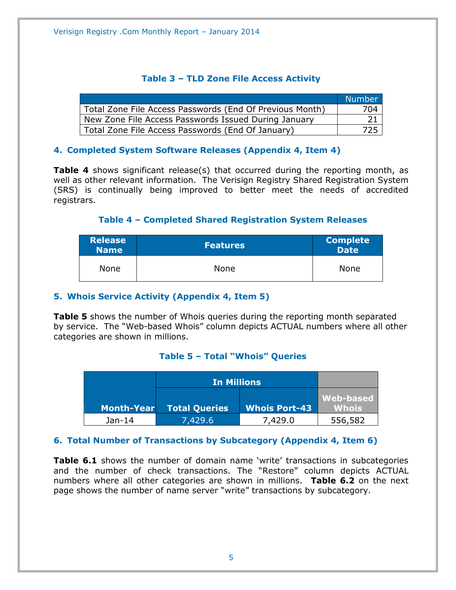#### **Table 3 – TLD Zone File Access Activity**

<span id="page-4-0"></span>

|                                                          | Number |
|----------------------------------------------------------|--------|
| Total Zone File Access Passwords (End Of Previous Month) | 704    |
| New Zone File Access Passwords Issued During January     |        |
| Total Zone File Access Passwords (End Of January)        | 725    |

#### <span id="page-4-1"></span>**4. Completed System Software Releases (Appendix 4, Item 4)**

**Table 4** shows significant release(s) that occurred during the reporting month, as well as other relevant information. The Verisign Registry Shared Registration System (SRS) is continually being improved to better meet the needs of accredited registrars.

#### **Table 4 – Completed Shared Registration System Releases**

<span id="page-4-2"></span>

| <b>Release</b><br><b>Name</b> | <b>Features</b> | <b>Complete</b><br>Date <sup>1</sup> |
|-------------------------------|-----------------|--------------------------------------|
| <b>None</b>                   | None            | None                                 |

#### <span id="page-4-3"></span>**5. Whois Service Activity (Appendix 4, Item 5)**

**Table 5** shows the number of Whois queries during the reporting month separated by service. The "Web-based Whois" column depicts ACTUAL numbers where all other categories are shown in millions.

#### **Table 5 – Total "Whois" Queries**

<span id="page-4-4"></span>

|            | <b>In Millions</b>   |                      |                           |
|------------|----------------------|----------------------|---------------------------|
| Month-Year | <b>Total Queries</b> | <b>Whois Port-43</b> | Web-based<br><b>Whois</b> |
|            |                      |                      |                           |
| Jan-14     | 7,429.6              | 7,429.0              | 556,582                   |

#### <span id="page-4-5"></span>**6. Total Number of Transactions by Subcategory (Appendix 4, Item 6)**

**Table 6.1** shows the number of domain name 'write' transactions in subcategories and the number of check transactions. The "Restore" column depicts ACTUAL numbers where all other categories are shown in millions. **Table 6.2** on the next page shows the number of name server "write" transactions by subcategory.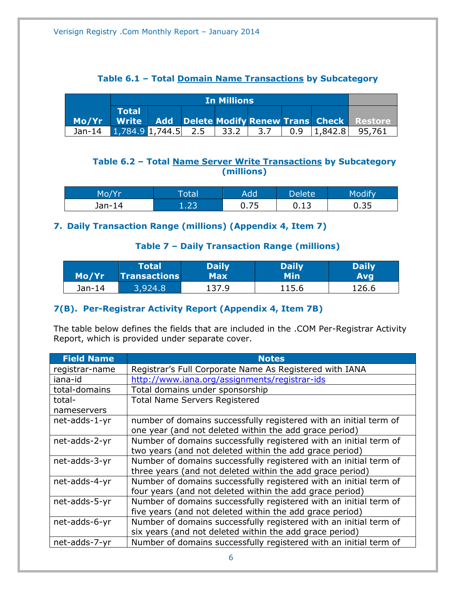#### **Table 6.1 – Total Domain Name Transactions by Subcategory**

<span id="page-5-0"></span>

|                                                         |                                     | <b>In Millions</b> |  |  |     |  |  |                        |
|---------------------------------------------------------|-------------------------------------|--------------------|--|--|-----|--|--|------------------------|
|                                                         | $\blacksquare$ Total $\blacksquare$ |                    |  |  |     |  |  |                        |
| Mo/Yr Write Add Delete Modify Renew Trans Check Restore |                                     |                    |  |  |     |  |  |                        |
| Jan-14 1,784.9 1,744.5 2.5 33.2                         |                                     |                    |  |  | 3.7 |  |  | $0.9$  1,842.8  95,761 |

#### <span id="page-5-1"></span>**Table 6.2 – Total Name Server Write Transactions by Subcategory (millions)**

| Mo/Yr  | `otal      | Add  | Delete' | <b>Modify</b> |
|--------|------------|------|---------|---------------|
| Jan-14 | כר ו<br>ᆠᆞ | 0.75 | 0.13    | 0.35          |

#### <span id="page-5-3"></span><span id="page-5-2"></span>**7. Daily Transaction Range (millions) (Appendix 4, Item 7)**

#### **Table 7 – Daily Transaction Range (millions)**

| Mo/Yr  | Total               | <b>Daily</b> | <b>Daily</b> | <b>Daily</b> |
|--------|---------------------|--------------|--------------|--------------|
|        | <b>Transactions</b> | <b>Max</b>   | <b>Min</b>   | <b>Avg</b>   |
| Jan-14 | 3,924.8             | 137.9        | 115.6        | 126.6        |

#### <span id="page-5-4"></span>**7(B). Per-Registrar Activity Report (Appendix 4, Item 7B)**

The table below defines the fields that are included in the .COM Per-Registrar Activity Report, which is provided under separate cover.

| <b>Field Name</b> | <b>Notes</b>                                                      |
|-------------------|-------------------------------------------------------------------|
| registrar-name    | Registrar's Full Corporate Name As Registered with IANA           |
| iana-id           | http://www.iana.org/assignments/registrar-ids                     |
| total-domains     | Total domains under sponsorship                                   |
| total-            | <b>Total Name Servers Registered</b>                              |
| nameservers       |                                                                   |
| net-adds-1-yr     | number of domains successfully registered with an initial term of |
|                   | one year (and not deleted within the add grace period)            |
| net-adds-2-yr     | Number of domains successfully registered with an initial term of |
|                   | two years (and not deleted within the add grace period)           |
| net-adds-3-yr     | Number of domains successfully registered with an initial term of |
|                   | three years (and not deleted within the add grace period)         |
| net-adds-4-yr     | Number of domains successfully registered with an initial term of |
|                   | four years (and not deleted within the add grace period)          |
| net-adds-5-yr     | Number of domains successfully registered with an initial term of |
|                   | five years (and not deleted within the add grace period)          |
| net-adds-6-yr     | Number of domains successfully registered with an initial term of |
|                   | six years (and not deleted within the add grace period)           |
| net-adds-7-yr     | Number of domains successfully registered with an initial term of |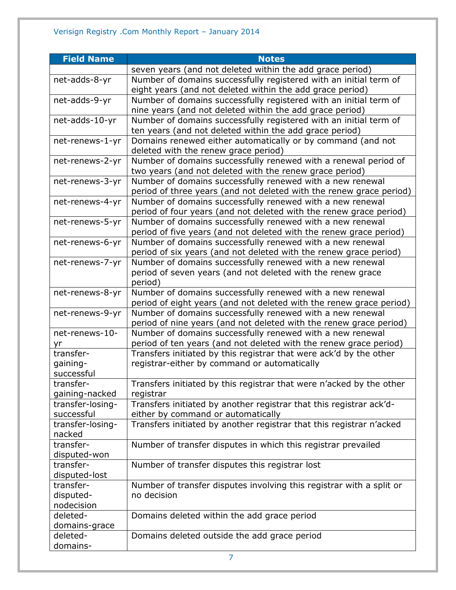| <b>Field Name</b>                  | <b>Notes</b>                                                                                                                     |
|------------------------------------|----------------------------------------------------------------------------------------------------------------------------------|
|                                    | seven years (and not deleted within the add grace period)                                                                        |
| net-adds-8-yr                      | Number of domains successfully registered with an initial term of                                                                |
|                                    | eight years (and not deleted within the add grace period)                                                                        |
| net-adds-9-yr                      | Number of domains successfully registered with an initial term of                                                                |
|                                    | nine years (and not deleted within the add grace period)                                                                         |
| net-adds-10-yr                     | Number of domains successfully registered with an initial term of                                                                |
|                                    | ten years (and not deleted within the add grace period)                                                                          |
| net-renews-1-yr                    | Domains renewed either automatically or by command (and not<br>deleted with the renew grace period)                              |
| net-renews-2-yr                    | Number of domains successfully renewed with a renewal period of<br>two years (and not deleted with the renew grace period)       |
| net-renews-3-yr                    | Number of domains successfully renewed with a new renewal<br>period of three years (and not deleted with the renew grace period) |
| net-renews-4-yr                    | Number of domains successfully renewed with a new renewal<br>period of four years (and not deleted with the renew grace period)  |
| net-renews-5-yr                    | Number of domains successfully renewed with a new renewal                                                                        |
|                                    | period of five years (and not deleted with the renew grace period)                                                               |
| net-renews-6-yr                    | Number of domains successfully renewed with a new renewal                                                                        |
|                                    | period of six years (and not deleted with the renew grace period)                                                                |
| net-renews-7-yr                    | Number of domains successfully renewed with a new renewal                                                                        |
|                                    | period of seven years (and not deleted with the renew grace<br>period)                                                           |
| net-renews-8-yr                    | Number of domains successfully renewed with a new renewal                                                                        |
|                                    | period of eight years (and not deleted with the renew grace period)                                                              |
| net-renews-9-yr                    | Number of domains successfully renewed with a new renewal                                                                        |
|                                    | period of nine years (and not deleted with the renew grace period)                                                               |
| net-renews-10-                     | Number of domains successfully renewed with a new renewal                                                                        |
| yr                                 | period of ten years (and not deleted with the renew grace period)                                                                |
| transfer-                          | Transfers initiated by this registrar that were ack'd by the other                                                               |
| gaining-                           | registrar-either by command or automatically                                                                                     |
| successful                         |                                                                                                                                  |
| transfer-                          | Transfers initiated by this registrar that were n'acked by the other                                                             |
| gaining-nacked<br>transfer-losing- | registrar<br>Transfers initiated by another registrar that this registrar ack'd-                                                 |
| successful                         | either by command or automatically                                                                                               |
| transfer-losing-                   | Transfers initiated by another registrar that this registrar n'acked                                                             |
| nacked                             |                                                                                                                                  |
| transfer-                          | Number of transfer disputes in which this registrar prevailed                                                                    |
| disputed-won                       |                                                                                                                                  |
| transfer-                          | Number of transfer disputes this registrar lost                                                                                  |
| disputed-lost                      |                                                                                                                                  |
| transfer-                          | Number of transfer disputes involving this registrar with a split or                                                             |
| disputed-                          | no decision                                                                                                                      |
| nodecision                         |                                                                                                                                  |
| deleted-                           | Domains deleted within the add grace period                                                                                      |
| domains-grace                      |                                                                                                                                  |
| deleted-                           | Domains deleted outside the add grace period                                                                                     |
| domains-                           |                                                                                                                                  |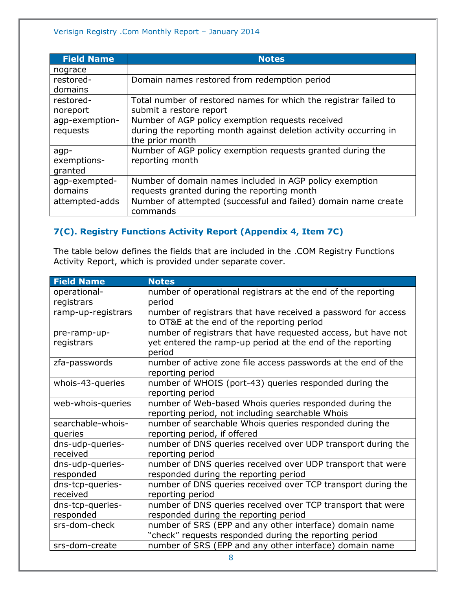| <b>Field Name</b> | <b>Notes</b>                                                      |
|-------------------|-------------------------------------------------------------------|
| nograce           |                                                                   |
| restored-         | Domain names restored from redemption period                      |
| domains           |                                                                   |
| restored-         | Total number of restored names for which the registrar failed to  |
| noreport          | submit a restore report                                           |
| agp-exemption-    | Number of AGP policy exemption requests received                  |
| requests          | during the reporting month against deletion activity occurring in |
|                   | the prior month                                                   |
| agp-              | Number of AGP policy exemption requests granted during the        |
| exemptions-       | reporting month                                                   |
| granted           |                                                                   |
| agp-exempted-     | Number of domain names included in AGP policy exemption           |
| domains           | requests granted during the reporting month                       |
| attempted-adds    | Number of attempted (successful and failed) domain name create    |
|                   | commands                                                          |

#### <span id="page-7-0"></span>**7(C). Registry Functions Activity Report (Appendix 4, Item 7C)**

The table below defines the fields that are included in the .COM Registry Functions Activity Report, which is provided under separate cover.

| <b>Field Name</b>  | <b>Notes</b>                                                  |
|--------------------|---------------------------------------------------------------|
| operational-       | number of operational registrars at the end of the reporting  |
| registrars         | period                                                        |
| ramp-up-registrars | number of registrars that have received a password for access |
|                    | to OT&E at the end of the reporting period                    |
| pre-ramp-up-       | number of registrars that have requested access, but have not |
| registrars         | yet entered the ramp-up period at the end of the reporting    |
|                    | period                                                        |
| zfa-passwords      | number of active zone file access passwords at the end of the |
|                    | reporting period                                              |
| whois-43-queries   | number of WHOIS (port-43) queries responded during the        |
|                    | reporting period                                              |
| web-whois-queries  | number of Web-based Whois queries responded during the        |
|                    | reporting period, not including searchable Whois              |
| searchable-whois-  | number of searchable Whois queries responded during the       |
| queries            | reporting period, if offered                                  |
| dns-udp-queries-   | number of DNS queries received over UDP transport during the  |
| received           | reporting period                                              |
| dns-udp-queries-   | number of DNS queries received over UDP transport that were   |
| responded          | responded during the reporting period                         |
| dns-tcp-queries-   | number of DNS queries received over TCP transport during the  |
| received           | reporting period                                              |
| dns-tcp-queries-   | number of DNS queries received over TCP transport that were   |
| responded          | responded during the reporting period                         |
| srs-dom-check      | number of SRS (EPP and any other interface) domain name       |
|                    | "check" requests responded during the reporting period        |
| srs-dom-create     | number of SRS (EPP and any other interface) domain name       |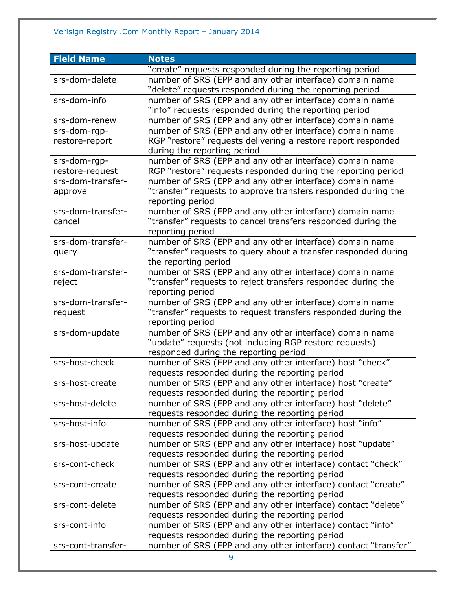| <b>Field Name</b>  | <b>Notes</b>                                                   |
|--------------------|----------------------------------------------------------------|
|                    | "create" requests responded during the reporting period        |
| srs-dom-delete     | number of SRS (EPP and any other interface) domain name        |
|                    | "delete" requests responded during the reporting period        |
| srs-dom-info       | number of SRS (EPP and any other interface) domain name        |
|                    | "info" requests responded during the reporting period          |
| srs-dom-renew      | number of SRS (EPP and any other interface) domain name        |
| srs-dom-rgp-       | number of SRS (EPP and any other interface) domain name        |
| restore-report     | RGP "restore" requests delivering a restore report responded   |
|                    | during the reporting period                                    |
| srs-dom-rgp-       | number of SRS (EPP and any other interface) domain name        |
| restore-request    | RGP "restore" requests responded during the reporting period   |
| srs-dom-transfer-  | number of SRS (EPP and any other interface) domain name        |
| approve            | "transfer" requests to approve transfers responded during the  |
|                    | reporting period                                               |
| srs-dom-transfer-  | number of SRS (EPP and any other interface) domain name        |
| cancel             | "transfer" requests to cancel transfers responded during the   |
|                    | reporting period                                               |
| srs-dom-transfer-  | number of SRS (EPP and any other interface) domain name        |
| query              | "transfer" requests to query about a transfer responded during |
|                    | the reporting period                                           |
| srs-dom-transfer-  | number of SRS (EPP and any other interface) domain name        |
| reject             | "transfer" requests to reject transfers responded during the   |
|                    | reporting period                                               |
| srs-dom-transfer-  | number of SRS (EPP and any other interface) domain name        |
| request            | "transfer" requests to request transfers responded during the  |
|                    | reporting period                                               |
| srs-dom-update     | number of SRS (EPP and any other interface) domain name        |
|                    | "update" requests (not including RGP restore requests)         |
|                    | responded during the reporting period                          |
| srs-host-check     | number of SRS (EPP and any other interface) host "check"       |
|                    | requests responded during the reporting period                 |
| srs-host-create    | number of SRS (EPP and any other interface) host "create"      |
|                    | requests responded during the reporting period                 |
| srs-host-delete    | number of SRS (EPP and any other interface) host "delete"      |
|                    | requests responded during the reporting period                 |
| srs-host-info      | number of SRS (EPP and any other interface) host "info"        |
|                    | requests responded during the reporting period                 |
| srs-host-update    | number of SRS (EPP and any other interface) host "update"      |
|                    | requests responded during the reporting period                 |
| srs-cont-check     | number of SRS (EPP and any other interface) contact "check"    |
|                    | requests responded during the reporting period                 |
| srs-cont-create    | number of SRS (EPP and any other interface) contact "create"   |
|                    | requests responded during the reporting period                 |
| srs-cont-delete    | number of SRS (EPP and any other interface) contact "delete"   |
|                    | requests responded during the reporting period                 |
| srs-cont-info      | number of SRS (EPP and any other interface) contact "info"     |
|                    | requests responded during the reporting period                 |
| srs-cont-transfer- | number of SRS (EPP and any other interface) contact "transfer" |